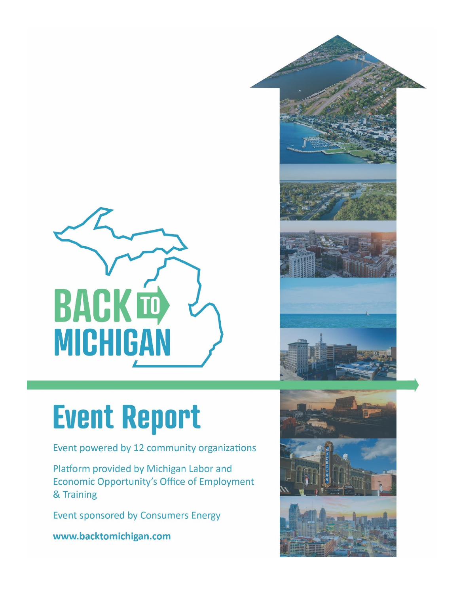

# **Event Report**

Event powered by 12 community organizations

Platform provided by Michigan Labor and Economic Opportunity's Office of Employment & Training

**Event sponsored by Consumers Energy** 

www.backtomichigan.com



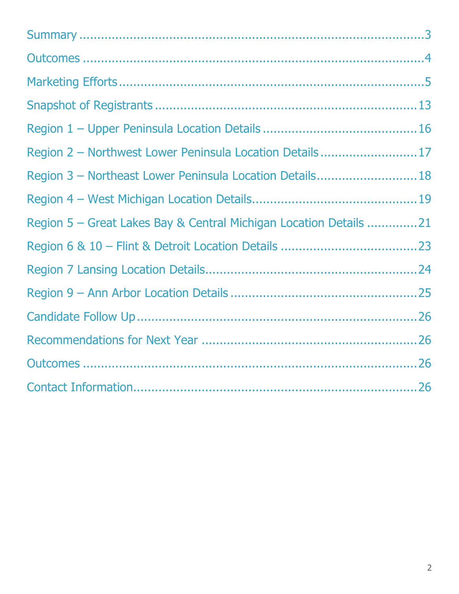| Region 2 - Northwest Lower Peninsula Location Details17           |  |
|-------------------------------------------------------------------|--|
| Region 3 - Northeast Lower Peninsula Location Details 18          |  |
|                                                                   |  |
| Region 5 - Great Lakes Bay & Central Michigan Location Details 21 |  |
|                                                                   |  |
|                                                                   |  |
|                                                                   |  |
|                                                                   |  |
|                                                                   |  |
|                                                                   |  |
|                                                                   |  |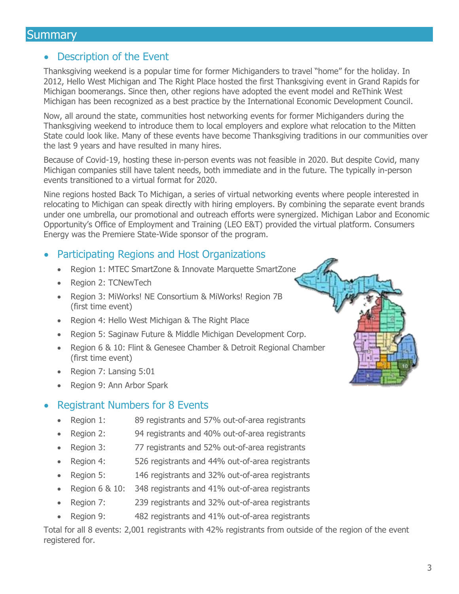## <span id="page-2-0"></span>**Summary**

#### • Description of the Event

Thanksgiving weekend is a popular time for former Michiganders to travel "home" for the holiday. In 2012, Hello West Michigan and The Right Place hosted the first Thanksgiving event in Grand Rapids for Michigan boomerangs. Since then, other regions have adopted the event model and ReThink West Michigan has been recognized as a best practice by the International Economic Development Council.

Now, all around the state, communities host networking events for former Michiganders during the Thanksgiving weekend to introduce them to local employers and explore what relocation to the Mitten State could look like. Many of these events have become Thanksgiving traditions in our communities over the last 9 years and have resulted in many hires.

Because of Covid-19, hosting these in-person events was not feasible in 2020. But despite Covid, many Michigan companies still have talent needs, both immediate and in the future. The typically in-person events transitioned to a virtual format for 2020.

Nine regions hosted Back To Michigan, a series of virtual networking events where people interested in relocating to Michigan can speak directly with hiring employers. By combining the separate event brands under one umbrella, our promotional and outreach efforts were synergized. Michigan Labor and Economic Opportunity's Office of Employment and Training (LEO E&T) provided the virtual platform. Consumers Energy was the Premiere State-Wide sponsor of the program.

#### • Participating Regions and Host Organizations

- Region 1: MTEC SmartZone & Innovate Marquette SmartZone
- Region 2: TCNewTech
- Region 3: MiWorks! NE Consortium & MiWorks! Region 7B (first time event)
- Region 4: Hello West Michigan & The Right Place
- Region 5: Saginaw Future & Middle Michigan Development Corp.
- Region 6 & 10: Flint & Genesee Chamber & Detroit Regional Chamber (first time event)
- Region 7: Lansing 5:01
- Region 9: Ann Arbor Spark

#### • Registrant Numbers for 8 Events

- Region 1: 89 registrants and 57% out-of-area registrants
- Region 2: 94 registrants and 40% out-of-area registrants
- Region 3: 77 registrants and 52% out-of-area registrants
- Region 4: 526 registrants and 44% out-of-area registrants
- Region 5: 146 registrants and 32% out-of-area registrants
- Region 6 & 10: 348 registrants and 41% out-of-area registrants
- Region 7: 239 registrants and 32% out-of-area registrants
- Region 9: 482 registrants and 41% out-of-area registrants

Total for all 8 events: 2,001 registrants with 42% registrants from outside of the region of the event registered for.

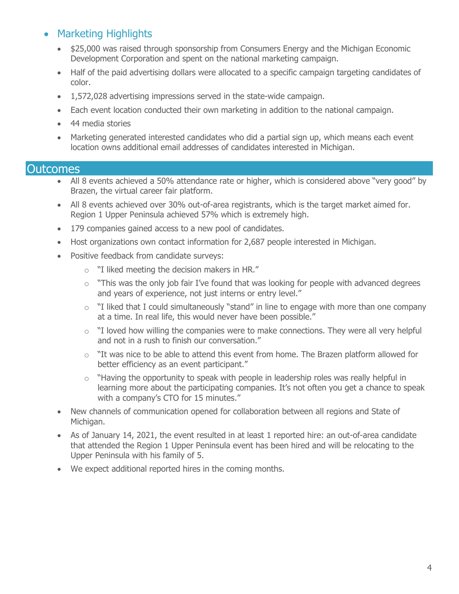## • Marketing Highlights

- \$25,000 was raised through sponsorship from Consumers Energy and the Michigan Economic Development Corporation and spent on the national marketing campaign.
- Half of the paid advertising dollars were allocated to a specific campaign targeting candidates of color.
- 1,572,028 advertising impressions served in the state-wide campaign.
- Each event location conducted their own marketing in addition to the national campaign.
- 44 media stories
- Marketing generated interested candidates who did a partial sign up, which means each event location owns additional email addresses of candidates interested in Michigan.

#### <span id="page-3-0"></span>**Outcomes**

- All 8 events achieved a 50% attendance rate or higher, which is considered above "very good" by Brazen, the virtual career fair platform.
- All 8 events achieved over 30% out-of-area registrants, which is the target market aimed for. Region 1 Upper Peninsula achieved 57% which is extremely high.
- 179 companies gained access to a new pool of candidates.
- Host organizations own contact information for 2,687 people interested in Michigan.
- Positive feedback from candidate surveys:
	- o "I liked meeting the decision makers in HR."
	- $\circ$  "This was the only job fair I've found that was looking for people with advanced degrees and years of experience, not just interns or entry level."
	- $\circ$  "I liked that I could simultaneously "stand" in line to engage with more than one company at a time. In real life, this would never have been possible."
	- $\circ$  "I loved how willing the companies were to make connections. They were all very helpful and not in a rush to finish our conversation."
	- $\circ$  "It was nice to be able to attend this event from home. The Brazen platform allowed for better efficiency as an event participant."
	- $\circ$  "Having the opportunity to speak with people in leadership roles was really helpful in learning more about the participating companies. It's not often you get a chance to speak with a company's CTO for 15 minutes."
- New channels of communication opened for collaboration between all regions and State of Michigan.
- As of January 14, 2021, the event resulted in at least 1 reported hire: an out-of-area candidate that attended the Region 1 Upper Peninsula event has been hired and will be relocating to the Upper Peninsula with his family of 5.
- We expect additional reported hires in the coming months.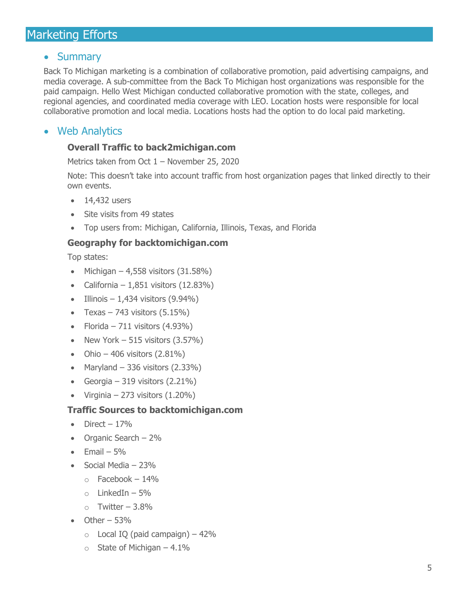# <span id="page-4-0"></span>Marketing Efforts

## • Summary

Back To Michigan marketing is a combination of collaborative promotion, paid advertising campaigns, and media coverage. A sub-committee from the Back To Michigan host organizations was responsible for the paid campaign. Hello West Michigan conducted collaborative promotion with the state, colleges, and regional agencies, and coordinated media coverage with LEO. Location hosts were responsible for local collaborative promotion and local media. Locations hosts had the option to do local paid marketing.

## • Web Analytics

#### **Overall Traffic to back2michigan.com**

Metrics taken from Oct 1 – November 25, 2020

Note: This doesn't take into account traffic from host organization pages that linked directly to their own events.

- 14,432 users
- Site visits from 49 states
- Top users from: Michigan, California, Illinois, Texas, and Florida

#### **Geography for backtomichigan.com**

Top states:

- Michigan 4,558 visitors  $(31.58\%)$
- California  $1,851$  visitors  $(12.83\%)$
- Illinois  $-1,434$  visitors (9.94%)
- Texas 743 visitors  $(5.15\%)$
- Florida 711 visitors  $(4.93\%)$
- New York  $-515$  visitors  $(3.57%)$
- Ohio 406 visitors  $(2.81\%)$
- Maryland  $-336$  visitors  $(2.33\%)$
- Georgia 319 visitors  $(2.21\%)$
- Virginia 273 visitors  $(1.20\%)$

#### **Traffic Sources to backtomichigan.com**

- Direct  $-17\%$
- Organic Search 2%
- $\bullet$  Fmail 5%
- Social Media 23%
	- $\circ$  Facebook 14%
	- $\circ$  LinkedIn 5%
	- $\circ$  Twitter 3.8%
- $\bullet$  Other 53%
	- $\circ$  Local IQ (paid campaign) 42%
	- $\circ$  State of Michigan 4.1%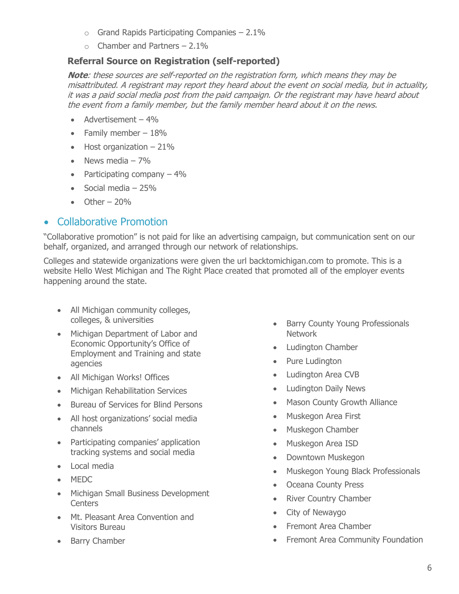- $\circ$  Grand Rapids Participating Companies 2.1%
- $\circ$  Chamber and Partners 2.1%

#### **Referral Source on Registration (self-reported)**

**Note**: these sources are self-reported on the registration form, which means they may be misattributed. A registrant may report they heard about the event on social media, but in actuality, it was a paid social media post from the paid campaign. Or the registrant may have heard about the event from a family member, but the family member heard about it on the news.

- Advertisement 4%
- Family member  $-18%$
- $\bullet$  Host organization  $-21\%$
- News media  $-7\%$
- Participating company  $-4\%$
- Social media  $-25%$
- $\bullet$  Other 20%

## • Collaborative Promotion

"Collaborative promotion" is not paid for like an advertising campaign, but communication sent on our behalf, organized, and arranged through our network of relationships.

Colleges and statewide organizations were given the url backtomichigan.com to promote. This is a website Hello West Michigan and The Right Place created that promoted all of the employer events happening around the state.

- All Michigan community colleges, colleges, & universities
- Michigan Department of Labor and Economic Opportunity's Office of Employment and Training and state agencies
- All Michigan Works! Offices
- Michigan Rehabilitation Services
- Bureau of Services for Blind Persons
- All host organizations' social media channels
- Participating companies' application tracking systems and social media
- Local media
- MEDC
- Michigan Small Business Development **Centers**
- Mt. Pleasant Area Convention and Visitors Bureau
- Barry Chamber
- Barry County Young Professionals Network
- Ludington Chamber
- Pure Ludington
- Ludington Area CVB
- Ludington Daily News
- Mason County Growth Alliance
- Muskegon Area First
- Muskegon Chamber
- Muskegon Area ISD
- Downtown Muskegon
- Muskegon Young Black Professionals
- Oceana County Press
- River Country Chamber
- City of Newaygo
- Fremont Area Chamber
- Fremont Area Community Foundation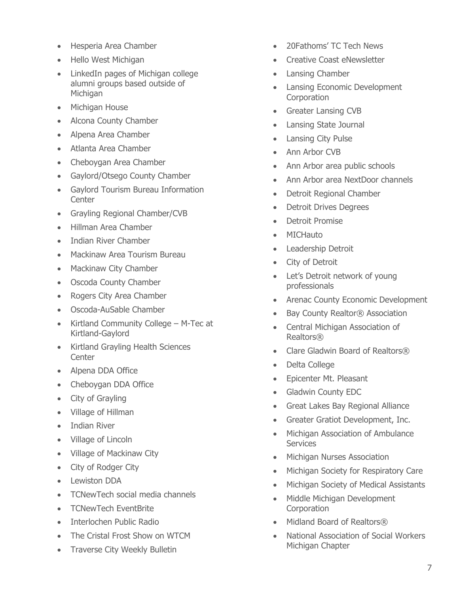- Hesperia Area Chamber
- Hello West Michigan
- LinkedIn pages of Michigan college alumni groups based outside of Michigan
- Michigan House
- Alcona County Chamber
- Alpena Area Chamber
- Atlanta Area Chamber
- Cheboygan Area Chamber
- Gaylord/Otsego County Chamber
- Gaylord Tourism Bureau Information **Center**
- Grayling Regional Chamber/CVB
- Hillman Area Chamber
- Indian River Chamber
- Mackinaw Area Tourism Bureau
- Mackinaw City Chamber
- Oscoda County Chamber
- Rogers City Area Chamber
- Oscoda-AuSable Chamber
- Kirtland Community College M -Tec at Kirtland -Gaylord
- Kirtland Grayling Health Sciences **Center**
- Alpena DDA Office
- Cheboygan DDA Office
- City of Grayling
- Village of Hillman
- Indian River
- Village of Lincoln
- Village of Mackinaw City
- City of Rodger City
- Lewiston DDA
- TCNewTech social media channels
- TCNewTech EventBrite
- Interlochen Public Radio
- The Cristal Frost Show on WTCM
- Traverse City Weekly Bulletin
- 20Fathoms' TC Tech News
- Creative Coast eNewsletter
- Lansing Chamber
- Lansing Economic Development **Corporation**
- Greater Lansing CVB
- Lansing State Journal
- Lansing City Pulse
- Ann Arbor CVB
- Ann Arbor area public schools
- Ann Arbor area NextDoor channels
- Detroit Regional Chamber
- **Detroit Drives Degrees**
- Detroit Promise
- MICHauto
- Leadership Detroit
- City of Detroit
- Let's Detroit network of young professionals
- Arenac County Economic Development
- Bay County Realtor® Association
- Central Michigan Association of Realtors®
- Clare Gladwin Board of Realtors®
- Delta College
- Epicenter Mt. Pleasant
- Gladwin County EDC
- Great Lakes Bay Regional Alliance
- Greater Gratiot Development, Inc.
- Michigan Association of Ambulance **Services**
- Michigan Nurses Association
- Michigan Society for Respiratory Care
- Michigan Society of Medical Assistants
- Middle Michigan Development **Corporation**
- Midland Board of Realtors®
- National Association of Social Workers Michigan Chapter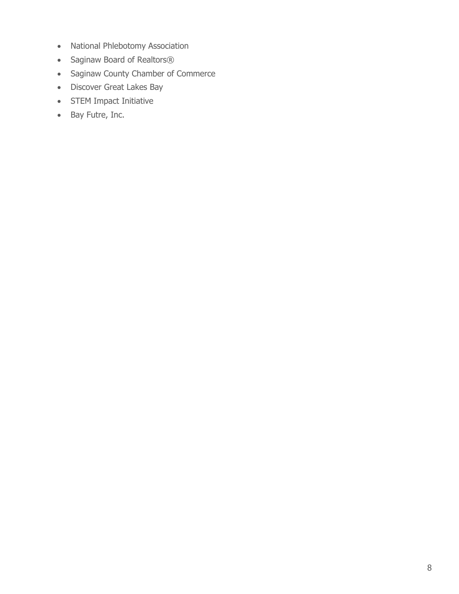- National Phlebotomy Association
- Saginaw Board of Realtors®
- Saginaw County Chamber of Commerce
- Discover Great Lakes Bay
- STEM Impact Initiative
- Bay Futre, Inc.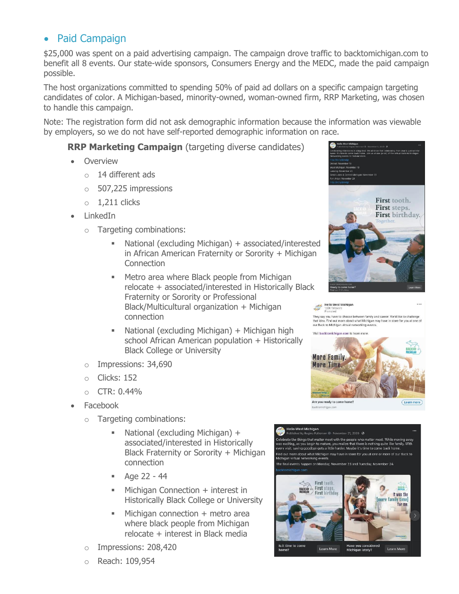## • Paid Campaign

\$25,000 was spent on a paid advertising campaign. The campaign drove traffic to backtomichigan.com to benefit all 8 events. Our state-wide sponsors, Consumers Energy and the MEDC, made the paid campaign possible.

The host organizations committed to spending 50% of paid ad dollars on a specific campaign targeting candidates of color. A Michigan-based, minority-owned, woman-owned firm, RRP Marketing, was chosen to handle this campaign.

Note: The registration form did not ask demographic information because the information was viewable by employers, so we do not have self-reported demographic information on race.

#### **RRP Marketing Campaign** (targeting diverse candidates)

- **Overview** 
	- o 14 different ads
	- o 507,225 impressions
	- $\circ$  1,211 clicks
- LinkedIn
	- o Targeting combinations:
		- National (excluding Michigan) + associated/interested in African American Fraternity or Sorority + Michigan **Connection**
		- Metro area where Black people from Michigan relocate + associated/interested in Historically Black Fraternity or Sorority or Professional Hello West Michigan Black/Multicultural organization + Michigan connection
		- National (excluding Michigan) + Michigan high school African American population + Historically Black College or University
	- o Impressions: 34,690
	- o Clicks: 152
	- o CTR: 0.44%
- Facebook
	- o Targeting combinations:
		- National (excluding Michigan) + associated/interested in Historically Black Fraternity or Sorority + Michigan connection
		- Age 22 44
		- $\blacksquare$  Michigan Connection  $+$  interest in Historically Black College or University
		- **■** Michigan connection + metro area where black people from Michigan relocate + interest in Black media
	- Impressions: 208,420





They say you have to choose between family and career. We'd like to challenge that idea. Find out more about what Michigan may have in store for you at or<br>our Back to Michigan virtual networking events.



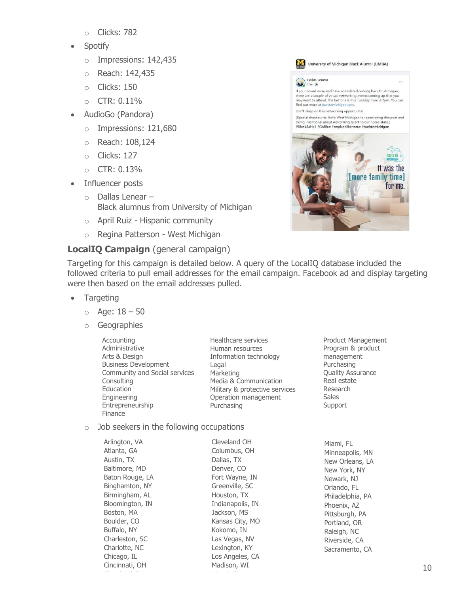- o Clicks: 782
- Spotify
	- o Impressions: 142,435
	- o Reach: 142,435
	- o Clicks: 150
	- $O$  CTR:  $0.11\%$
- AudioGo (Pandora)
	- o Impressions: 121,680
	- o Reach: 108,124
	- o Clicks: 127
	- o CTR: 0.13%
- Influencer posts
	- o Dallas Lenear Black alumnus from University of Michigan
	- o April Ruiz Hispanic community
	- o Regina Patterson West Michigan

## **LocalIQ Campaign** (general campaign)



Targeting for this campaign is detailed below. A query of the LocalIQ database included the followed criteria to pull email addresses for the email campaign. Facebook ad and display targeting were then based on the email addresses pulled.

- Targeting
	- $o$  Age:  $18 50$
	- o Geographies

| Accounting                    | Healthcare services            |
|-------------------------------|--------------------------------|
| Administrative                | Human resources                |
| Arts & Design                 | Information technology         |
| <b>Business Development</b>   | Legal                          |
| Community and Social services | Marketing                      |
| Consulting                    | Media & Communication          |
| Education                     | Military & protective services |
| Engineering                   | Operation management           |
| Entrepreneurship              | Purchasing                     |
| Finance                       |                                |

#### $\circ$  Job seekers in the following occupations JU SEEKEIS III (

| Arlington, VA   | Cleveland OH     | Miami  |
|-----------------|------------------|--------|
| Atlanta, GA     | Columbus, OH     | Minne  |
| Austin, TX      | Dallas, TX       | New C  |
| Baltimore, MD   | Denver, CO       | New Y  |
| Baton Rouge, LA | Fort Wayne, IN   | Newar  |
| Binghamton, NY  | Greenville, SC   | Orland |
| Birmingham, AL  | Houston, TX      | Philad |
| Bloomington, IN | Indianapolis, IN | Phoen  |
| Boston, MA      | Jackson, MS      | Pittsb |
| Boulder, CO     | Kansas City, MO  | Portla |
| Buffalo, NY     | Kokomo, IN       | Raleig |
| Charleston, SC  | Las Vegas, NV    | Rivers |
| Charlotte, NC   | Lexington, KY    | Sacra  |
| Chicago, IL     | Los Angeles, CA  |        |
| Cincinnati, OH  | Madison, WI      |        |

Product Management Program & product management Purchasing Quality Assurance Real estate Research Sales Support

 $F_{\text{L}}$ apolis, MN Orleans, LA York, NY rk, NJ do, FL lelphia, PA ix, AZ urgh, PA nd, OR h, NC side, CA mento, CA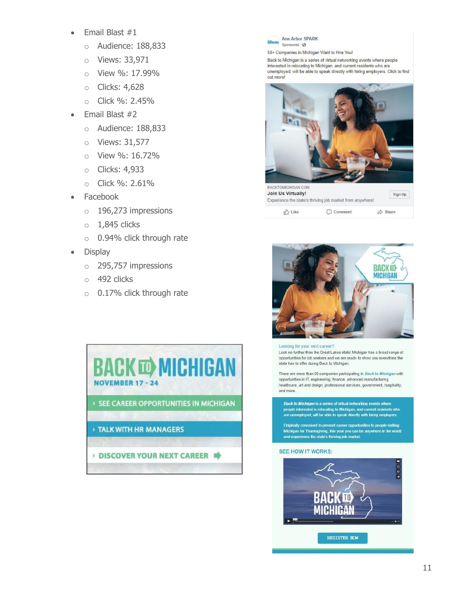- Email Blast #1
	- o Audience: 188,833
	- o Views: 33,971
	- o View %: 17.99%
	- o Clicks: 4,628
	- o Click %: 2.45%
- Email Blast #2
	- o Audience: 188,833
	- o Views: 31,577
	- o View %: 16.72%
	- o Clicks: 4,933
	- o Click %: 2.61%
- Facebook
	- o 196,273 impressions
	- $0$  1,845 clicks
	- o 0.94% click through rate
- Display
	- o 295,757 impressions
	- o 492 clicks
	- o 0.17% click through rate





50+ Companies in Michigan Want to Hire You!

Back to Michigan is a series of virtual networking events where people interested in relocating to Michigan, and current residents who are unemployed, will be able to speak directly with hiring employers. Click to find out more!





#### Looking for your next career?

Look no further than the Great Lakes state! Michigan has a broad range of opportunities for job seekers and we are ready to show you everything the state has to offer during Back to Michigan.

There are more than 50 companies participating in Back to Michigan with opportunities in IT, engineering, finance, advanced manufacturing, healthcare, art and design, professional services, government, hospitality, and more.

Back to Michigan is a series of virtual networking events where people interested in relocating to Michigan, and current residents who are unemployed, will be able to speak directly with hiring employers.

Originally conceived to present career opportunities to people visiting Michigan for Thanksgiving, this year you can be anywhere in the world<br>and experience the state's thriving job market.

#### **SEE HOW IT WORKS:**

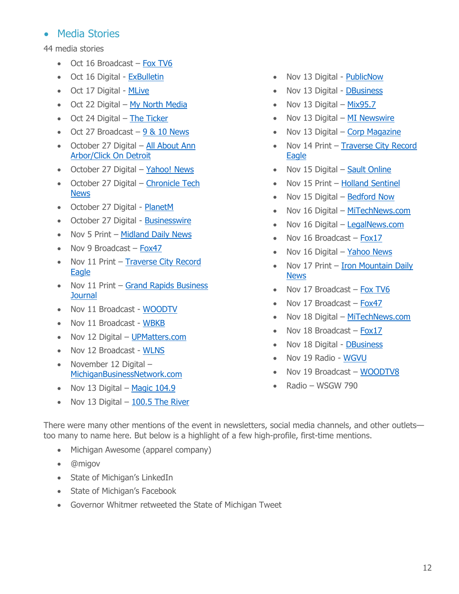## • Media Stories

44 media stories

- Oct 16 Broadcast [Fox TV6](https://www.uppermichiganssource.com/2020/10/16/return-north-career-reception-goes-virtual-next-month/)
- Oct 16 Digital [ExBulletin](https://exbulletin.com/tech/471720/)
- Oct 17 Digital [MLive](https://www.mlive.com/news/ann-arbor/2020/10/ann-arbor-spark-to-host-tech-homecoming-virtual-job-fair.html)
- Oct 22 Digital [My North Media](https://mynorth.com/2020/10/tcnewtechs-thanksgiving-weekend-networking-event-is-back/?fbclid=IwAR3cdy3AJJU4DZ4IGBLYja1XSn1_lY4k4N-F43SWr9chbk4bEshD12QG524)
- Oct 24 Digital [The Ticker](https://www.traverseticker.com/news/homecoming-career-fair-still-on-with-changes/?fbclid=IwAR28lfYXueG4tbHFWxiMygRTFryG8sw2PZL8f9lVZRV14iNBUXf0CMBx0zI)
- Oct 27 Broadcast  $-9$  & 10 News
- October 27 Digital [All About Ann](https://www.clickondetroit.com/all-about-ann-arbor/2020/10/27/ann-arbor-spark-to-connect-job-seekers-employers-at-tech-homecoming-on-november-24/)  [Arbor/Click On Detroit](https://www.clickondetroit.com/all-about-ann-arbor/2020/10/27/ann-arbor-spark-to-connect-job-seekers-employers-at-tech-homecoming-on-november-24/)
- October 27 Digital [Yahoo!](https://news.yahoo.com/ann-arbor-spark-connects-job-175100183.html) News
- October 27 Digital [Chronicle Tech](https://cronicle.press/2020/10/27/ann-arbors-tech-hiring-event-tech-homecoming-continues-virtually-november-2020/)  [News](https://cronicle.press/2020/10/27/ann-arbors-tech-hiring-event-tech-homecoming-continues-virtually-november-2020/)
- October 27 Digital [PlanetM](https://www.planetm.com/news/2020/10/ann-arbor-spark-to-host-tech-homecoming-virtual-job-fair/)
- October 27 Digital [Businesswire](https://www.businesswire.com/news/home/20201027006067/en/Ann-Arbor-SPARK-Connects-Job-Seekers-and-Employers-at-Tech-Homecoming-November-24)
- Nov 5 Print [Midland Daily News](https://www.ourmidland.com/insider/article/Entities-hope-to-attract-young-professionals-back-15702244.php)
- Nov 9 Broadcast [Fox47](https://www.fox47news.com/rebound/hiring-during-coronavirus/the-rebound-utilizing-linkedin-to-the-fullest-in-your-job-search)
- Nov 11 Print Traverse City Record [Eagle](https://www.record-eagle.com/news/business/a-way-to-reconnect-tcnewtech-nov-18-event-under-back-to-michigan-umbrella/article_ff0575f0-147a-11eb-a770-bb8d8903abbb.html)
- Nov 11 Print Grand Rapids Business **[Journal](https://grbj.com/news/human-resources/annual-recruiting-event-rethink-west-michigan-goes-virtual/)**
- Nov 11 Broadcast [WOODTV](https://www.woodtv.com/health/coronavirus/now-hiring-grand-rapids-company-preparing-covid-19-vaccine-doses/)
- Nov 11 Broadcast [WBKB](http://www.wbkb11.com/michigan-works-northeast-consortium-hosts-virtual-job-fair)
- Nov 12 Digital [UPMatters.com](https://www.upmatters.com/news/michigan-news/now-hiring-gr-company-preparing-covid-19-vaccine-doses/)
- Nov 12 Broadcast [WLNS](https://www.wlns.com/news/health/coronavirus/now-hiring-gr-company-preparing-covid-19-vaccine-doses/)
- November 12 Digital [MichiganBusinessNetwork.com](https://www.michiganbusinessnetwork.com/blog/ann-arbor-spark-connects-job-seekers-and-employers-at-tech-homecoming-november-24)
- Nov 13 Digital Magic  $104.9$
- Nov 13 Digital  $-100.5$  The River
- Nov 13 Digital [PublicNow](http://www.publicnow.com/view/8D46CC7A90F191D65AAD65EA113FD45BC8B4A73F)
- Nov 13 Digital [DBusiness](https://www.dbusiness.com/daily-news/covid-19-update-back-to-michigan-virtual-job-fairs-seek-to-bring-talent-home-bank-of-america-awards-5m-to-economic-mobility-and-covid-related-nonprofits-and-more/)
- Nov 13 Digital [Mix95.7](https://mix957gr.com/virtual-job-fair-to-bring-mi-natives-back-to-the-state-is-nov-19/)
- Nov 13 Digital [MI Newswire](https://www.michigan.gov/minewswire/0,4629,7-136--545011--rss,00.html)
- Nov 13 Digital [Corp Magazine](https://www.corpmagazine.com/break-room/back-to-michigan-job-fair-series-goes-virtual-to-entice-boomerangs-back-home/?utm_medium=email&utm_campaign=ePub%20507%20-%20111920&utm_content=ePub%20507%20-%20111920+CID_73d3cf85a7a82af5c912d014be440348&utm_source=CM)
- Nov 14 Print Traverse City Record [Eagle](https://www.record-eagle.com/news/business/virtual-job-fairs-aim-at-boomerangs/article_25614904-25bf-11eb-8def-ab68cf959bbe.html)
- Nov 15 Digital [Sault Online](https://saultonline.com/2020/11/back-to-michigan-virtual-job-fairs-kick-off-to-bring-talent-back-home/)
- Nov 15 Print [Holland Sentinel](https://www.hollandsentinel.com/news/20201115/rethink-west-michigan-to-be-held-online-amid-pandemic)
- Nov 15 Digital [Bedford Now](https://www.bedfordnow.com/news/20201115/rethink-west-michigan-to-be-held-online-amid-pandemic)
- Nov 16 Digital [MiTechNews.com](https://mitechnews.com/featured/back-to-michigan-virtual-job-fairs-start-nov-17-to-bring-it-talent-home/)
- Nov 16 Digital [LegalNews.com](http://www.legalnews.com/oakland/1493716/)
- Nov 16 Broadcast [Fox17](https://www.fox17online.com/news/back-to-michigan-career-event-goes-virtual)
- Nov 16 Digital [Yahoo News](https://news.yahoo.com/hello-west-michigan-career-event-034242110.html)
- Nov 17 Print Iron Mountain Daily [News](https://www.ironmountaindailynews.com/news/local-news/2020/11/virtual-job-fairs-kick-off-to-bring-talent-back-home/)
- Nov 17 Broadcast [Fox TV6](https://www.uppermichiganssource.com/2020/11/17/return-north-professional-careers-reception-goes-virtual/)
- Nov 17 Broadcast [Fox47](https://www.fox47news.com/news/back-to-michigan-career-event-goes-virtual)
- Nov 18 Digital [MiTechNews.com](https://mitechnews.com/featured/discover-great-lakes-bay-hosting-virtual-job-fair-to-get-it-talent-back-to-michigan/)
- Nov 18 Broadcast [Fox17](https://www.fox17online.com/morning-mix/rethink-west-michigan-helps-people-look-for-jobs-wanting-to-relocate-to-the-mitten)
- Nov 18 Digital [DBusiness](https://www.dbusiness.com/daily-news/covid-19-update-change-of-leadership-at-cms-energy-workers-returning-to-unemployment-should-reopen-previous-claim-and-more/)
- Nov 19 Radio [WGVU](https://wgvu.drupal.publicbroadcasting.net/post/hello-west-michigan-2)
- Nov 19 Broadcast [WOODTV8](https://www.google.com/url?rct=j&sa=t&url=https://www.woodtv.com/news/kent-county/virtual-job-fair-pushes-people-to-rethink-west-michigan/&ct=ga&cd=CAEYACoUMTY5MTE5MjU2NDQ3MzI2OTYwMzQyGjBlNDIxMDRjNDAyYmQ0YWM6Y29tOmVuOlVT&usg=AFQjCNGkXf2kL2uhzW3l7u7b6xZzu3A6Lg)
- Radio WSGW 790

There were many other mentions of the event in newsletters, social media channels, and other outlets too many to name here. But below is a highlight of a few high-profile, first-time mentions.

- Michigan Awesome (apparel company)
- [@migov](https://twitter.com/migov/status/1327285532745986051?s=20)
- [State of Michigan's LinkedIn](https://www.linkedin.com/feed/update/urn:li:activity:6733053768142749696)
- [State of Michigan's Facebook](https://www.linkedin.com/feed/update/urn:li:activity:6733053768142749696)
- Governor Whitmer retweeted the State of Michigan Tweet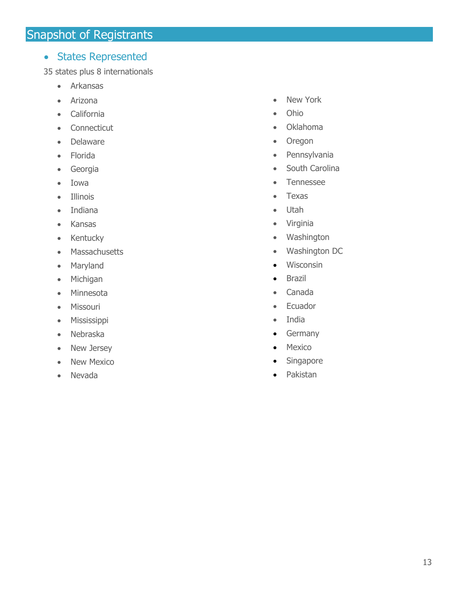## <span id="page-12-0"></span>• States Represented

35 states plus 8 internationals

- Arkansas
- Arizona
- California
- Connecticut
- Delaware
- Florida
- Georgia
- Iowa
- Illinois
- Indiana
- Kansas
- Kentucky
- Massachusetts
- Maryland
- Michigan
- Minnesota
- Missouri
- Mississippi
- Nebraska
- New Jersey
- New Mexico
- Nevada
- New York
- Ohio
- Oklahoma
- Oregon
- Pennsylvania
- South Carolina
- Tennessee
- Texas
- Utah
- Virginia
- Washington
- Washington DC
- Wisconsin
- Brazil
- Canada
- Ecuador
- India
- Germany
- Mexico
- Singapore
- Pakistan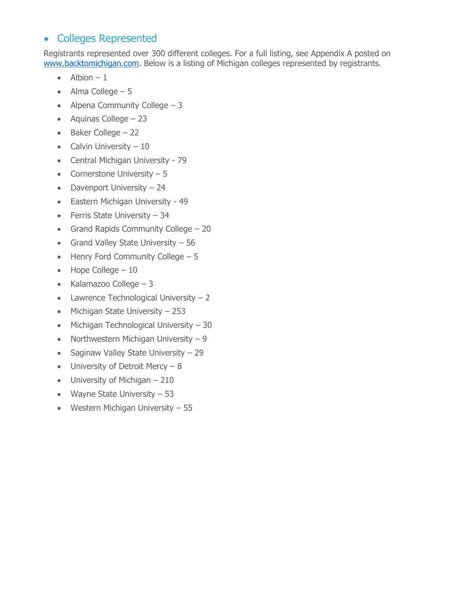## • Colleges Represented

Registrants represented over 300 different colleges. For a full listing, see Appendix A posted on [www.backtomichigan.com.](http://www.backtomichigan.com/) Below is a listing of Michigan colleges represented by registrants.

- $\bullet$  Albion 1
- Alma College  $-5$
- Alpena Community College  $-3$
- Aquinas College 23
- Baker College 22
- Calvin University  $-10$
- Central Michigan University 79
- Cornerstone University  $-5$
- Davenport University 24
- Eastern Michigan University 49
- Ferris State University  $-34$
- Grand Rapids Community College 20
- Grand Valley State University 56
- Henry Ford Community College 5
- $\bullet$  Hope College 10
- Kalamazoo College  $-3$
- Lawrence Technological University  $-2$
- Michigan State University 253
- Michigan Technological University 30
- Northwestern Michigan University  $-9$
- Saginaw Valley State University 29
- University of Detroit Mercy  $-8$
- University of Michigan 210
- Wayne State University 53
- Western Michigan University 55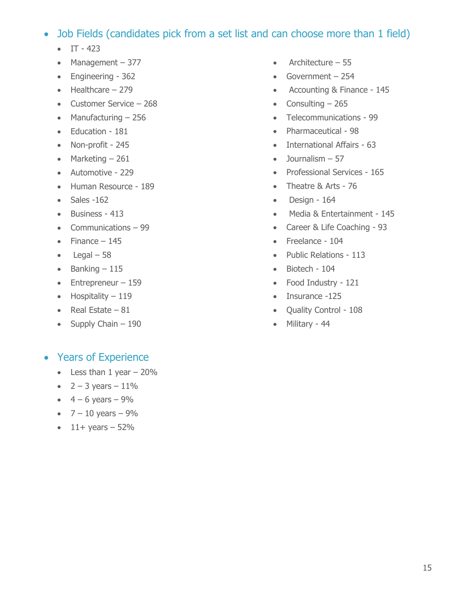## • Job Fields (candidates pick from a set list and can choose more than 1 field)

- $IT 423$
- Management 377
- Engineering 362
- Healthcare 279
- Customer Service 268
- Manufacturing 256
- Education 181
- Non-profit 245
- Marketing  $-261$
- Automotive 229
- Human Resource 189
- Sales -162
- Business 413
- Communications 99
- Finance  $-145$
- $\bullet$  Legal 58
- $\bullet$  Banking  $-115$
- Entrepreneur 159
- Hospitality 119
- Real Estate  $-81$
- Supply Chain  $-190$

## • Years of Experience

- $\bullet$  Less than 1 year  $-20\%$
- $2 3$  years  $-11\%$
- $4 6$  years  $-9\%$
- $7 10$  years  $-9\%$
- $11+$  years  $-52%$
- Architecture 55
- Government 254
- Accounting & Finance 145
- Consulting  $-265$
- Telecommunications 99
- Pharmaceutical 98
- International Affairs 63
- $\bullet$  Journalism  $-57$
- Professional Services 165
- Theatre & Arts 76
- Design 164
- Media & Entertainment 145
- Career & Life Coaching 93
- Freelance 104
- Public Relations 113
- Biotech 104
- Food Industry 121
- Insurance -125
- Quality Control 108
- Military 44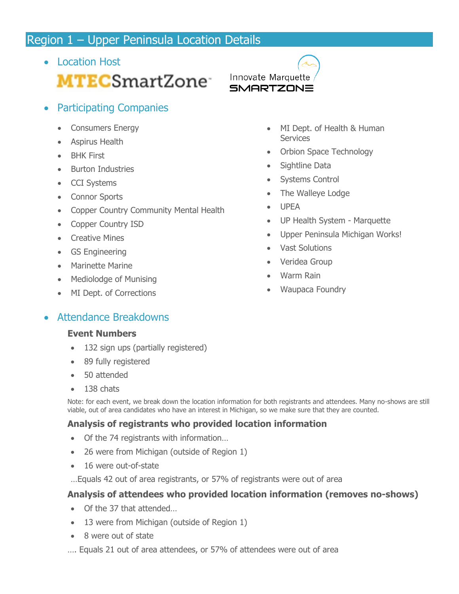## <span id="page-15-0"></span>Region 1 – Upper Peninsula Location Details

- Location Host **MTECSmartZone** Innovate Marquette
- Participating Companies
	- Consumers Energy
	- Aspirus Health
	- BHK First
	- Burton Industries
	- CCI Systems
	- Connor Sports
	- Copper Country Community Mental Health
	- Copper Country ISD
	- Creative Mines
	- GS Engineering
	- Marinette Marine
	- Mediolodge of Munising
	- MI Dept. of Corrections
- MI Dept. of Health & Human **Services**
- Orbion Space Technology
- Sightline Data
- Systems Control
- The Walleye Lodge
- UPEA

**SMARTZONE** 

- UP Health System Marquette
- Upper Peninsula Michigan Works!
- Vast Solutions
- Veridea Group
- Warm Rain
- Waupaca Foundry

## • Attendance Breakdowns

#### **Event Numbers**

- 132 sign ups (partially registered)
- 89 fully registered
- 50 attended
- 138 chats

Note: for each event, we break down the location information for both registrants and attendees. Many no-shows are still viable, out of area candidates who have an interest in Michigan, so we make sure that they are counted.

## **Analysis of registrants who provided location information**

- Of the 74 registrants with information…
- 26 were from Michigan (outside of Region 1)
- 16 were out-of-state
- …Equals 42 out of area registrants, or 57% of registrants were out of area

## **Analysis of attendees who provided location information (removes no-shows)**

- Of the 37 that attended…
- 13 were from Michigan (outside of Region 1)
- 8 were out of state
- …. Equals 21 out of area attendees, or 57% of attendees were out of area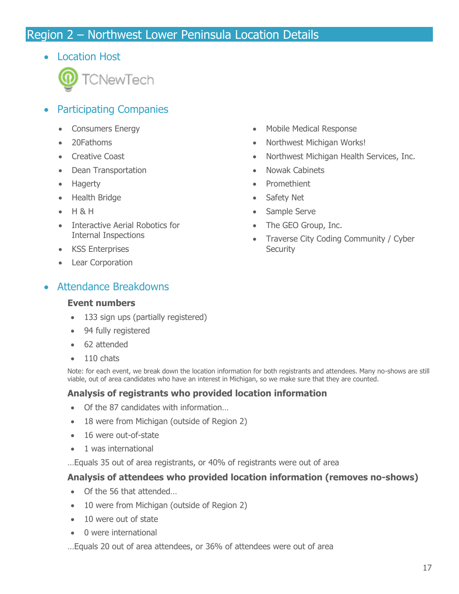## <span id="page-16-0"></span>Region 2 – Northwest Lower Peninsula Location Details

• Location Host



- Participating Companies
	- Consumers Energy
	- 20Fathoms
	- Creative Coast
	- Dean Transportation
	- Hagerty
	- Health Bridge
	- H & H
	- Interactive Aerial Robotics for Internal Inspections
	- KSS Enterprises
	- Lear Corporation
- Attendance Breakdowns

#### **Event numbers**

- 133 sign ups (partially registered)
- 94 fully registered
- 62 attended
- 110 chats

Note: for each event, we break down the location information for both registrants and attendees. Many no-shows are still viable, out of area candidates who have an interest in Michigan, so we make sure that they are counted.

#### **Analysis of registrants who provided location information**

- Of the 87 candidates with information…
- 18 were from Michigan (outside of Region 2)
- 16 were out-of-state
- 1 was international

…Equals 35 out of area registrants, or 40% of registrants were out of area

#### **Analysis of attendees who provided location information (removes no-shows)**

- Of the 56 that attended...
- 10 were from Michigan (outside of Region 2)
- 10 were out of state
- 0 were international

…Equals 20 out of area attendees, or 36% of attendees were out of area

- Mobile Medical Response
- Northwest Michigan Works!
- Northwest Michigan Health Services, Inc.
- Nowak Cabinets
- Promethient
- Safety Net
- Sample Serve
- The GEO Group, Inc.
- Traverse City Coding Community / Cyber **Security**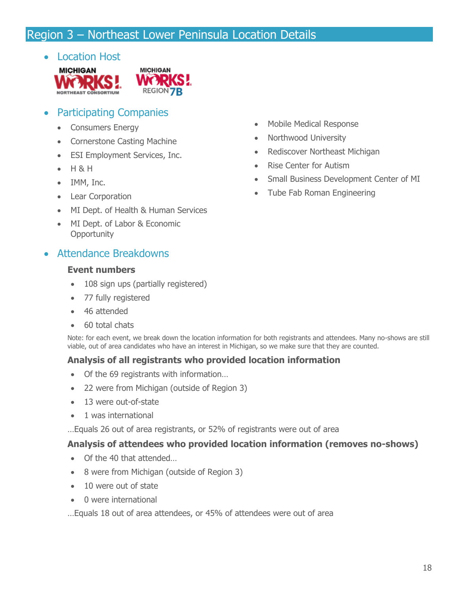## <span id="page-17-0"></span>Region 3 – Northeast Lower Peninsula Location Details

#### • Location Host





## • Participating Companies

- Consumers Energy
- Cornerstone Casting Machine
- ESI Employment Services, Inc.
- H & H
- IMM, Inc.
- Lear Corporation
- MI Dept. of Health & Human Services
- MI Dept. of Labor & Economic **Opportunity**

## • Attendance Breakdowns

#### **Event numbers**

- 108 sign ups (partially registered)
- 77 fully registered
- 46 attended
- 60 total chats

Note: for each event, we break down the location information for both registrants and attendees. Many no-shows are still viable, out of area candidates who have an interest in Michigan, so we make sure that they are counted.

#### **Analysis of all registrants who provided location information**

- Of the 69 registrants with information...
- 22 were from Michigan (outside of Region 3)
- 13 were out-of-state
- 1 was international

…Equals 26 out of area registrants, or 52% of registrants were out of area

#### **Analysis of attendees who provided location information (removes no-shows)**

- Of the 40 that attended...
- 8 were from Michigan (outside of Region 3)
- 10 were out of state
- 0 were international

…Equals 18 out of area attendees, or 45% of attendees were out of area

- Mobile Medical Response
- Northwood University
- Rediscover Northeast Michigan
- Rise Center for Autism
- Small Business Development Center of MI
- Tube Fab Roman Engineering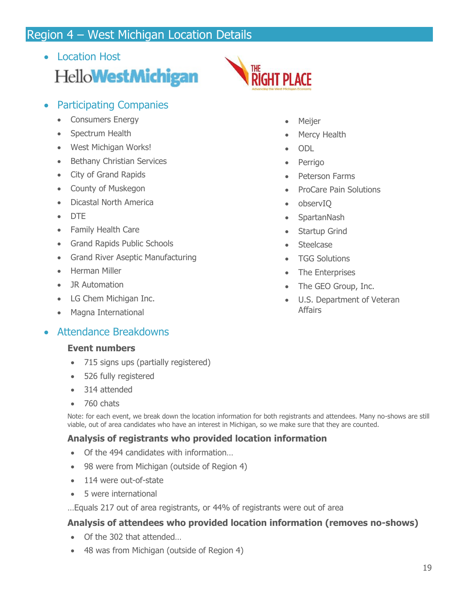## <span id="page-18-0"></span>Region 4 – West Michigan Location Details

- Location Host Hello**WestMichigan**
- Participating Companies
	- Consumers Energy
	- Spectrum Health
	- West Michigan Works!
	- Bethany Christian Services
	- City of Grand Rapids
	- County of Muskegon
	- Dicastal North America
	- DTE
	- Family Health Care
	- Grand Rapids Public Schools
	- Grand River Aseptic Manufacturing
	- Herman Miller
	- JR Automation
	- LG Chem Michigan Inc.
	- Magna International

## • Attendance Breakdowns

#### **Event numbers**

- 715 signs ups (partially registered)
- 526 fully registered
- 314 attended
- 760 chats

Note: for each event, we break down the location information for both registrants and attendees. Many no-shows are still viable, out of area candidates who have an interest in Michigan, so we make sure that they are counted.

#### **Analysis of registrants who provided location information**

- Of the 494 candidates with information…
- 98 were from Michigan (outside of Region 4)
- 114 were out-of-state
- 5 were international

…Equals 217 out of area registrants, or 44% of registrants were out of area

#### **Analysis of attendees who provided location information (removes no-shows)**

- Of the 302 that attended…
- 48 was from Michigan (outside of Region 4)
- **RIGHT PLACE** 
	- **Meijer**
	- Mercy Health
	- ODL
	- **Perrigo**
	- Peterson Farms
	- ProCare Pain Solutions
	- observIQ
	- SpartanNash
	- Startup Grind
	- Steelcase
	- **TGG Solutions**
	- The Enterprises
	- The GEO Group, Inc.
	- U.S. Department of Veteran Affairs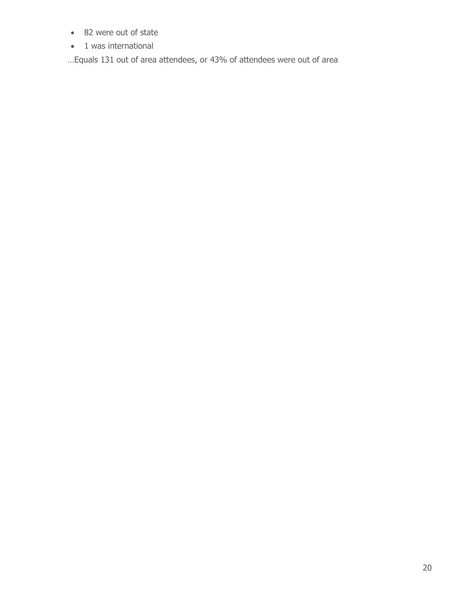- 82 were out of state
- 1 was international

…Equals 131 out of area attendees, or 43% of attendees were out of area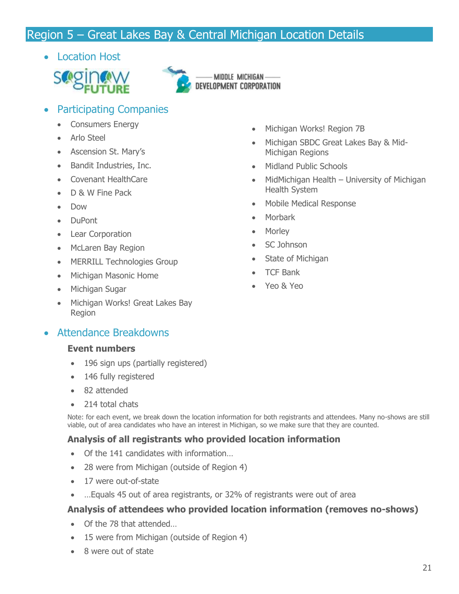## <span id="page-20-0"></span>Region 5 – Great Lakes Bay & Central Michigan Location Details

• Location Host





- Participating Companies
	- Consumers Energy
	- Arlo Steel
	- Ascension St. Mary's
	- Bandit Industries, Inc.
	- Covenant HealthCare
	- D & W Fine Pack
	- Dow
	- DuPont
	- Lear Corporation
	- McLaren Bay Region
	- MERRILL Technologies Group
	- Michigan Masonic Home
	- Michigan Sugar
	- Michigan Works! Great Lakes Bay Region

## • Attendance Breakdowns

#### **Event numbers**

- 196 sign ups (partially registered)
- 146 fully registered
- 82 attended
- 214 total chats

Note: for each event, we break down the location information for both registrants and attendees. Many no-shows are still viable, out of area candidates who have an interest in Michigan, so we make sure that they are counted.

## **Analysis of all registrants who provided location information**

- Of the 141 candidates with information...
- 28 were from Michigan (outside of Region 4)
- 17 were out-of-state
- …Equals 45 out of area registrants, or 32% of registrants were out of area

## **Analysis of attendees who provided location information (removes no-shows)**

- Of the 78 that attended
- 15 were from Michigan (outside of Region 4)
- 8 were out of state
- Michigan Works! Region 7B
- Michigan SBDC Great Lakes Bay & Mid-Michigan Regions
- Midland Public Schools
- MidMichigan Health University of Michigan Health System
- Mobile Medical Response
- Morbark
- Morley
- SC Johnson
- State of Michigan
- TCF Bank
- Yeo & Yeo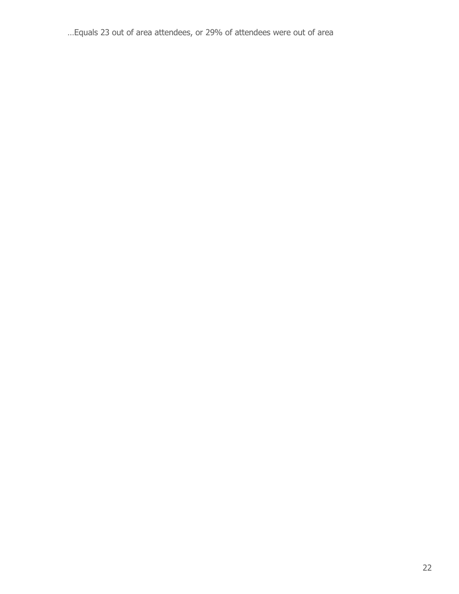…Equals 23 out of area attendees, or 29% of attendees were out of area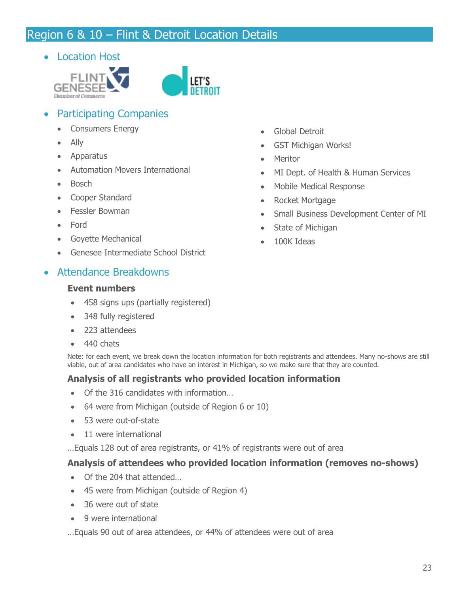## <span id="page-22-0"></span>Region 6 & 10 – Flint & Detroit Location Details

• Location Host



- Participating Companies
	- Consumers Energy
	- Ally
	- Apparatus
	- Automation Movers International
	- Bosch
	- Cooper Standard
	- Fessler Bowman
	- Ford
	- Goyette Mechanical
	- Genesee Intermediate School District

#### • Attendance Breakdowns

#### **Event numbers**

- 458 signs ups (partially registered)
- 348 fully registered
- 223 attendees
- 440 chats

Note: for each event, we break down the location information for both registrants and attendees. Many no-shows are still viable, out of area candidates who have an interest in Michigan, so we make sure that they are counted.

#### **Analysis of all registrants who provided location information**

- Of the 316 candidates with information…
- 64 were from Michigan (outside of Region 6 or 10)
- 53 were out-of-state
- 11 were international

…Equals 128 out of area registrants, or 41% of registrants were out of area

#### **Analysis of attendees who provided location information (removes no-shows)**

- Of the 204 that attended
- 45 were from Michigan (outside of Region 4)
- 36 were out of state
- 9 were international

…Equals 90 out of area attendees, or 44% of attendees were out of area

- Global Detroit
- GST Michigan Works!
- Meritor
- MI Dept. of Health & Human Services
- Mobile Medical Response
- Rocket Mortgage
- Small Business Development Center of MI
- State of Michigan
- 100K Ideas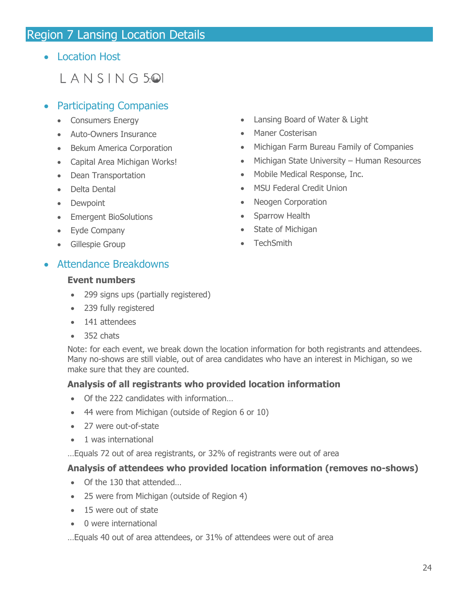## <span id="page-23-0"></span>Region 7 Lansing Location Details

• Location Host

## $L$  ANSING 5<sup>.</sup>

#### • Participating Companies

- Consumers Energy
- Auto-Owners Insurance
- Bekum America Corporation
- Capital Area Michigan Works!
- Dean Transportation
- Delta Dental
- Dewpoint
- Emergent BioSolutions
- Eyde Company
- Gillespie Group
- Lansing Board of Water & Light
- Maner Costerisan
- Michigan Farm Bureau Family of Companies
- Michigan State University Human Resources
- Mobile Medical Response, Inc.
- MSU Federal Credit Union
- Neogen Corporation
- Sparrow Health
- State of Michigan
- TechSmith

#### • Attendance Breakdowns

#### **Event numbers**

- 299 signs ups (partially registered)
- 239 fully registered
- 141 attendees
- 352 chats

Note: for each event, we break down the location information for both registrants and attendees. Many no-shows are still viable, out of area candidates who have an interest in Michigan, so we make sure that they are counted.

#### **Analysis of all registrants who provided location information**

- Of the 222 candidates with information...
- 44 were from Michigan (outside of Region 6 or 10)
- 27 were out-of-state
- 1 was international

…Equals 72 out of area registrants, or 32% of registrants were out of area

#### **Analysis of attendees who provided location information (removes no-shows)**

- Of the 130 that attended…
- 25 were from Michigan (outside of Region 4)
- 15 were out of state
- 0 were international
- …Equals 40 out of area attendees, or 31% of attendees were out of area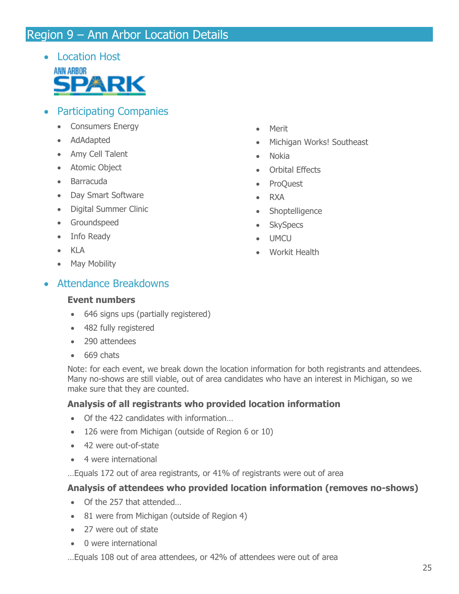## <span id="page-24-0"></span>Region 9 – Ann Arbor Location Details

• Location Host



- Participating Companies
	- Consumers Energy
	- AdAdapted
	- Amy Cell Talent
	- Atomic Object
	- Barracuda
	- Day Smart Software
	- Digital Summer Clinic
	- Groundspeed
	- Info Ready
	- KLA
	- May Mobility

## • Attendance Breakdowns

#### **Event numbers**

- 646 signs ups (partially registered)
- 482 fully registered
- 290 attendees
- 669 chats

Note: for each event, we break down the location information for both registrants and attendees. Many no-shows are still viable, out of area candidates who have an interest in Michigan, so we make sure that they are counted.

#### **Analysis of all registrants who provided location information**

- Of the 422 candidates with information...
- 126 were from Michigan (outside of Region 6 or 10)
- 42 were out-of-state
- 4 were international

…Equals 172 out of area registrants, or 41% of registrants were out of area

#### **Analysis of attendees who provided location information (removes no-shows)**

- Of the 257 that attended…
- 81 were from Michigan (outside of Region 4)
- 27 were out of state
- 0 were international

…Equals 108 out of area attendees, or 42% of attendees were out of area

- Merit
- Michigan Works! Southeast
- Nokia
- Orbital Effects
- ProQuest
- RXA
- Shoptelligence
- SkySpecs
- UMCU
- Workit Health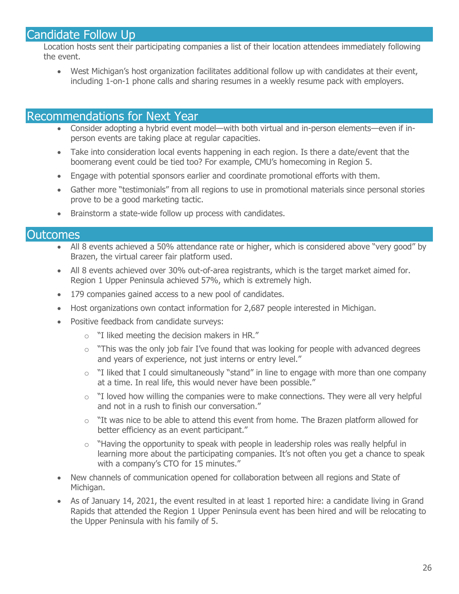## <span id="page-25-0"></span>Candidate Follow Up

Location hosts sent their participating companies a list of their location attendees immediately following the event.

• West Michigan's host organization facilitates additional follow up with candidates at their event, including 1-on-1 phone calls and sharing resumes in a weekly resume pack with employers.

#### <span id="page-25-1"></span>Recommendations for Next Year

- Consider adopting a hybrid event model—with both virtual and in-person elements—even if inperson events are taking place at regular capacities.
- Take into consideration local events happening in each region. Is there a date/event that the boomerang event could be tied too? For example, CMU's homecoming in Region 5.
- Engage with potential sponsors earlier and coordinate promotional efforts with them.
- Gather more "testimonials" from all regions to use in promotional materials since personal stories prove to be a good marketing tactic.
- Brainstorm a state-wide follow up process with candidates.

#### <span id="page-25-2"></span>**Outcomes**

- All 8 events achieved a 50% attendance rate or higher, which is considered above "very good" by Brazen, the virtual career fair platform used.
- All 8 events achieved over 30% out-of-area registrants, which is the target market aimed for. Region 1 Upper Peninsula achieved 57%, which is extremely high.
- 179 companies gained access to a new pool of candidates.
- Host organizations own contact information for 2,687 people interested in Michigan.
- <span id="page-25-3"></span>• Positive feedback from candidate surveys:
	- o "I liked meeting the decision makers in HR."
	- $\circ$  "This was the only job fair I've found that was looking for people with advanced degrees and years of experience, not just interns or entry level."
	- o "I liked that I could simultaneously "stand" in line to engage with more than one company at a time. In real life, this would never have been possible."
	- $\circ$  "I loved how willing the companies were to make connections. They were all very helpful and not in a rush to finish our conversation."
	- $\circ$  "It was nice to be able to attend this event from home. The Brazen platform allowed for better efficiency as an event participant."
	- o "Having the opportunity to speak with people in leadership roles was really helpful in learning more about the participating companies. It's not often you get a chance to speak with a company's CTO for 15 minutes."
- New channels of communication opened for collaboration between all regions and State of Michigan.
- As of January 14, 2021, the event resulted in at least 1 reported hire: a candidate living in Grand Rapids that attended the Region 1 Upper Peninsula event has been hired and will be relocating to the Upper Peninsula with his family of 5.